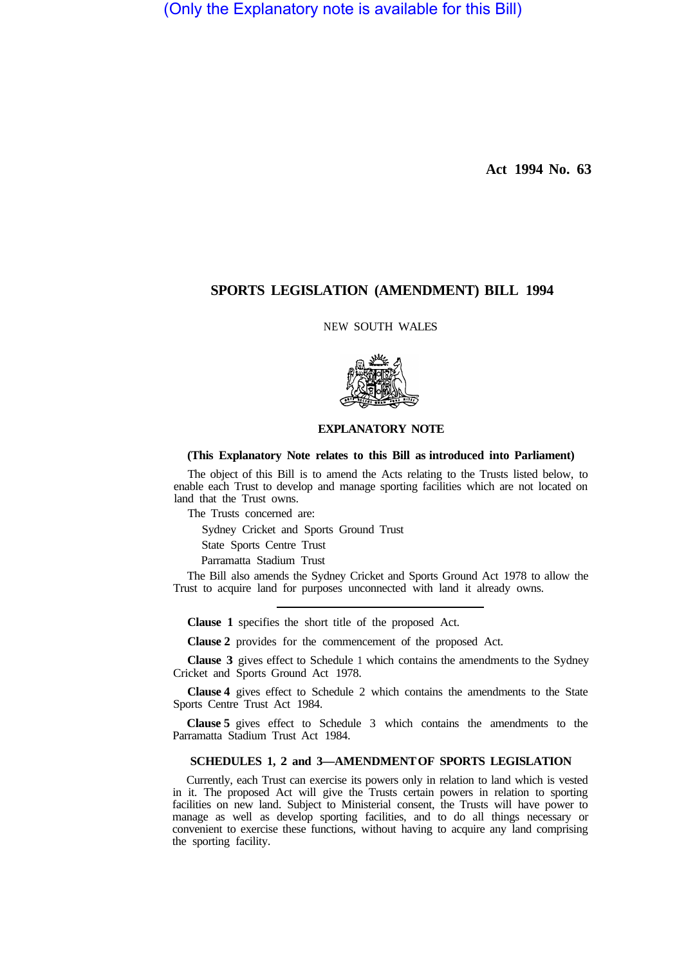(Only the Explanatory note is available for this Bill)

**Act 1994 No. 63** 

## **SPORTS LEGISLATION (AMENDMENT) BILL 1994**

NEW SOUTH WALES



## **EXPLANATORY NOTE**

## **(This Explanatory Note relates to this Bill as introduced into Parliament)**

The object of this Bill is to amend the Acts relating to the Trusts listed below, to enable each Trust to develop and manage sporting facilities which are not located on land that the Trust owns.

The Trusts concerned are:

Sydney Cricket and Sports Ground Trust

State Sports Centre Trust

Parramatta Stadium Trust

The Bill also amends the Sydney Cricket and Sports Ground Act 1978 to allow the Trust to acquire land for purposes unconnected with land it already owns.

**Clause 1** specifies the short title of the proposed Act.

**Clause 2** provides for the commencement of the proposed Act.

**Clause 3** gives effect to Schedule 1 which contains the amendments to the Sydney Cricket and Sports Ground Act 1978.

**Clause 4** gives effect to Schedule 2 which contains the amendments to the State Sports Centre Trust Act 1984.

**Clause 5** gives effect to Schedule 3 which contains the amendments to the Parramatta Stadium Trust Act 1984.

## **SCHEDULES 1, 2 and 3—AMENDMENT OF SPORTS LEGISLATION**

Currently, each Trust can exercise its powers only in relation to land which is vested in it. The proposed Act will give the Trusts certain powers in relation to sporting facilities on new land. Subject to Ministerial consent, the Trusts will have power to manage as well as develop sporting facilities, and to do all things necessary or convenient to exercise these functions, without having to acquire any land comprising the sporting facility.